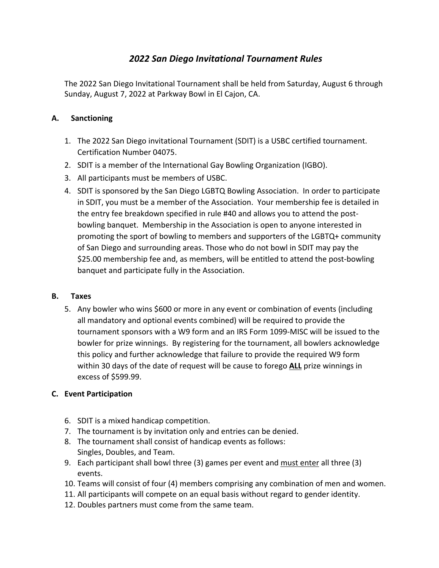# *2022 San Diego Invitational Tournament Rules*

The 2022 San Diego Invitational Tournament shall be held from Saturday, August 6 through Sunday, August 7, 2022 at Parkway Bowl in El Cajon, CA.

## **A. Sanctioning**

- 1. The 2022 San Diego invitational Tournament (SDIT) is a USBC certified tournament. Certification Number 04075.
- 2. SDIT is a member of the International Gay Bowling Organization (IGBO).
- 3. All participants must be members of USBC.
- 4. SDIT is sponsored by the San Diego LGBTQ Bowling Association. In order to participate in SDIT, you must be a member of the Association. Your membership fee is detailed in the entry fee breakdown specified in rule #40 and allows you to attend the post‐ bowling banquet. Membership in the Association is open to anyone interested in promoting the sport of bowling to members and supporters of the LGBTQ+ community of San Diego and surrounding areas. Those who do not bowl in SDIT may pay the \$25.00 membership fee and, as members, will be entitled to attend the post‐bowling banquet and participate fully in the Association.

#### **B. Taxes**

5. Any bowler who wins \$600 or more in any event or combination of events (including all mandatory and optional events combined) will be required to provide the tournament sponsors with a W9 form and an IRS Form 1099‐MISC will be issued to the bowler for prize winnings. By registering for the tournament, all bowlers acknowledge this policy and further acknowledge that failure to provide the required W9 form within 30 days of the date of request will be cause to forego **ALL** prize winnings in excess of \$599.99.

## **C. Event Participation**

- 6. SDIT is a mixed handicap competition.
- 7. The tournament is by invitation only and entries can be denied.
- 8. The tournament shall consist of handicap events as follows: Singles, Doubles, and Team.
- 9. Each participant shall bowl three (3) games per event and must enter all three (3) events.
- 10. Teams will consist of four (4) members comprising any combination of men and women.
- 11. All participants will compete on an equal basis without regard to gender identity.
- 12. Doubles partners must come from the same team.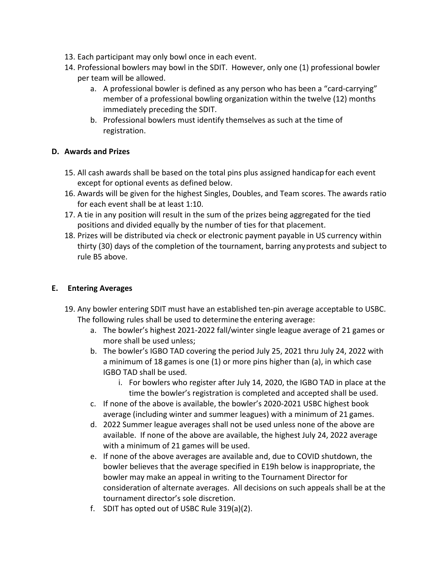- 13. Each participant may only bowl once in each event.
- 14. Professional bowlers may bowl in the SDIT. However, only one (1) professional bowler per team will be allowed.
	- a. A professional bowler is defined as any person who has been a "card‐carrying" member of a professional bowling organization within the twelve (12) months immediately preceding the SDIT.
	- b. Professional bowlers must identify themselves as such at the time of registration.

## **D. Awards and Prizes**

- 15. All cash awards shall be based on the total pins plus assigned handicap for each event except for optional events as defined below.
- 16. Awards will be given for the highest Singles, Doubles, and Team scores. The awards ratio for each event shall be at least 1:10.
- 17. A tie in any position will result in the sum of the prizes being aggregated for the tied positions and divided equally by the number of ties for that placement.
- 18. Prizes will be distributed via check or electronic payment payable in US currency within thirty (30) days of the completion of the tournament, barring any protests and subject to rule B5 above.

## **E. Entering Averages**

- 19. Any bowler entering SDIT must have an established ten‐pin average acceptable to USBC. The following rules shall be used to determine the entering average:
	- a. The bowler's highest 2021‐2022 fall/winter single league average of 21 games or more shall be used unless;
	- b. The bowler's IGBO TAD covering the period July 25, 2021 thru July 24, 2022 with a minimum of 18 games is one (1) or more pins higher than (a), in which case IGBO TAD shall be used.
		- i. For bowlers who register after July 14, 2020, the IGBO TAD in place at the time the bowler's registration is completed and accepted shall be used.
	- c. If none of the above is available, the bowler's 2020‐2021 USBC highest book average (including winter and summer leagues) with a minimum of 21 games.
	- d. 2022 Summer league averages shall not be used unless none of the above are available. If none of the above are available, the highest July 24, 2022 average with a minimum of 21 games will be used.
	- e. If none of the above averages are available and, due to COVID shutdown, the bowler believes that the average specified in E19h below is inappropriate, the bowler may make an appeal in writing to the Tournament Director for consideration of alternate averages. All decisions on such appeals shall be at the tournament director's sole discretion.
	- f. SDIT has opted out of USBC Rule 319(a)(2).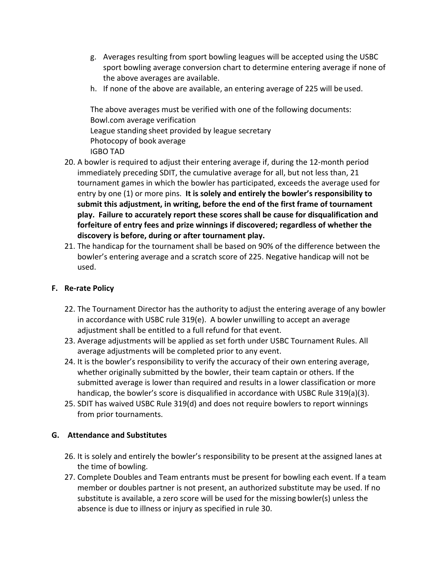- g. Averages resulting from sport bowling leagues will be accepted using the USBC sport bowling average conversion chart to determine entering average if none of the above averages are available.
- h. If none of the above are available, an entering average of 225 will be used.

The above averages must be verified with one of the following documents: Bowl.com average verification League standing sheet provided by league secretary Photocopy of book average IGBO TAD

- 20. A bowler is required to adjust their entering average if, during the 12-month period immediately preceding SDIT, the cumulative average for all, but not less than, 21 tournament games in which the bowler has participated, exceeds the average used for entry by one (1) or more pins. **It is solely and entirely the bowler's responsibility to submit this adjustment, in writing, before the end of the first frame of tournament play. Failure to accurately report these scores shall be cause for disqualification and forfeiture of entry fees and prize winnings if discovered; regardless of whether the discovery is before, during or after tournament play.**
- 21. The handicap for the tournament shall be based on 90% of the difference between the bowler's entering average and a scratch score of 225. Negative handicap will not be used.

## **F. Re‐rate Policy**

- 22. The Tournament Director has the authority to adjust the entering average of any bowler in accordance with USBC rule 319(e). A bowler unwilling to accept an average adjustment shall be entitled to a full refund for that event.
- 23. Average adjustments will be applied as set forth under USBC Tournament Rules. All average adjustments will be completed prior to any event.
- 24. It is the bowler's responsibility to verify the accuracy of their own entering average, whether originally submitted by the bowler, their team captain or others. If the submitted average is lower than required and results in a lower classification or more handicap, the bowler's score is disqualified in accordance with USBC Rule 319(a)(3).
- 25. SDIT has waived USBC Rule 319(d) and does not require bowlers to report winnings from prior tournaments.

## **G. Attendance and Substitutes**

- 26. It is solely and entirely the bowler's responsibility to be present at the assigned lanes at the time of bowling.
- 27. Complete Doubles and Team entrants must be present for bowling each event. If a team member or doubles partner is not present, an authorized substitute may be used. If no substitute is available, a zero score will be used for the missing bowler(s) unless the absence is due to illness or injury as specified in rule 30.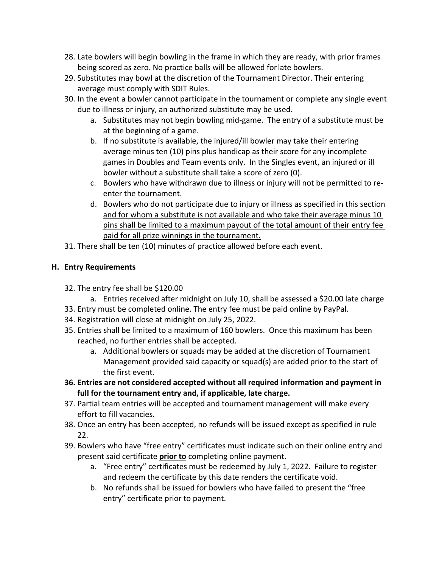- 28. Late bowlers will begin bowling in the frame in which they are ready, with prior frames being scored as zero. No practice balls will be allowed for late bowlers.
- 29. Substitutes may bowl at the discretion of the Tournament Director. Their entering average must comply with SDIT Rules.
- 30. In the event a bowler cannot participate in the tournament or complete any single event due to illness or injury, an authorized substitute may be used.
	- a. Substitutes may not begin bowling mid‐game. The entry of a substitute must be at the beginning of a game.
	- b. If no substitute is available, the injured/ill bowler may take their entering average minus ten (10) pins plus handicap as their score for any incomplete games in Doubles and Team events only. In the Singles event, an injured or ill bowler without a substitute shall take a score of zero (0).
	- c. Bowlers who have withdrawn due to illness or injury will not be permitted to re‐ enter the tournament.
	- d. Bowlers who do not participate due to injury or illness as specified in this section and for whom a substitute is not available and who take their average minus 10 pins shall be limited to a maximum payout of the total amount of their entry fee paid for all prize winnings in the tournament.
- 31. There shall be ten (10) minutes of practice allowed before each event.

## **H. Entry Requirements**

- 32. The entry fee shall be \$120.00
	- a. Entries received after midnight on July 10, shall be assessed a \$20.00 late charge
- 33. Entry must be completed online. The entry fee must be paid online by PayPal.
- 34. Registration will close at midnight on July 25, 2022.
- 35. Entries shall be limited to a maximum of 160 bowlers. Once this maximum has been reached, no further entries shall be accepted.
	- a. Additional bowlers or squads may be added at the discretion of Tournament Management provided said capacity or squad(s) are added prior to the start of the first event.
- **36. Entries are not considered accepted without all required information and payment in full for the tournament entry and, if applicable, late charge.**
- 37. Partial team entries will be accepted and tournament management will make every effort to fill vacancies.
- 38. Once an entry has been accepted, no refunds will be issued except as specified in rule 22.
- 39. Bowlers who have "free entry" certificates must indicate such on their online entry and present said certificate **prior to** completing online payment.
	- a. "Free entry" certificates must be redeemed by July 1, 2022. Failure to register and redeem the certificate by this date renders the certificate void.
	- b. No refunds shall be issued for bowlers who have failed to present the "free entry" certificate prior to payment.